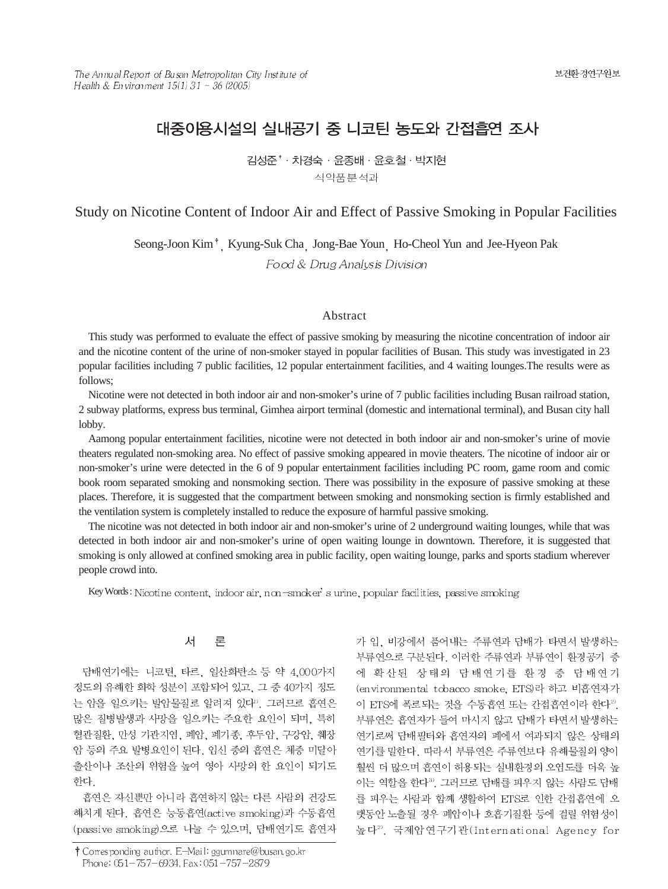# 대중이용시설의 실내공기 중 니코틴 농도와 간접흡연 조사

김성준<sup>\*</sup> · 차경숙 · 윤종배 · 윤호철 · 박지현 식약품분석과

### Study on Nicotine Content of Indoor Air and Effect of Passive Smoking in Popular Facilities

Seong-Joon Kim<sup>†</sup> Kyung-Suk Cha Jong-Bae Youn Ho-Cheol Yun and Jee-Hyeon Pak Food & Drug Analysis Division

#### Abstract

This study was performed to evaluate the effect of passive smoking by measuring the nicotine concentration of indoor air and the nicotine content of the urine of non-smoker stayed in popular facilities of Busan. This study was investigated in 23 popular facilities including 7 public facilities, 12 popular entertainment facilities, and 4 waiting lounges.The results were as follows;

Nicotine were not detected in both indoor air and non-smoker's urine of 7 public facilities including Busan railroad station, 2 subway platforms, express bus terminal, Gimhea airport terminal (domestic and international terminal), and Busan city hall lobby.

Aamong popular entertainment facilities, nicotine were not detected in both indoor air and non-smoker's urine of movie theaters regulated non-smoking area. No effect of passive smoking appeared in movie theaters. The nicotine of indoor air or non-smoker's urine were detected in the 6 of 9 popular entertainment facilities including PC room, game room and comic book room separated smoking and nonsmoking section. There was possibility in the exposure of passive smoking at these places. Therefore, it is suggested that the compartment between smoking and nonsmoking section is firmly established and the ventilation system is completely installed to reduce the exposure of harmful passive smoking.

The nicotine was not detected in both indoor air and non-smoker's urine of 2 underground waiting lounges, while that was detected in both indoor air and non-smoker's urine of open waiting lounge in downtown. Therefore, it is suggested that smoking is only allowed at confined smoking area in public facility, open waiting lounge, parks and sports stadium wherever people crowd into.

Key Words: Nicotine content, indoor air, non-smoker's urine, popular facilities, passive smoking

#### 서 론

담배연기에는 니코틴, 타르, 일산화탄소 등 약 4,000가지 정도의 유해한 화학 성분이 포함되어 있고, 그 중 40가지 정도 는 암을 일으키는 발암물질로 알려져 있다". 그러므로 흡연은 많은 질병발생과 사망을 일으키는 주요한 요인이 되며, 특히 혈관질환, 만성 기관지염, 폐암, 폐기종, 후두암, 구강암, 췌장 암 등의 주요 발병요인이 된다. 임신 중의 흡연은 체중 미달아 출산이나 조산의 위험을 높여 영아 사망의 한 요인이 되기도 한다.

흡연은 자신뿐만 아니라 흡연하지 않는 다른 사람의 건강도 해치게 된다. 흡연은 능동흡연(active smoking)과 수동흡연 (passive smoking)으로 나눌 수 있으며, 담배연기도 흡연자 가 입, 비강에서 품어내는 주류연과 담배가 타면서 발생하는 부류연으로 구분된다. 이러한 주류연과 부류연이 환경공기 중 에 확산된 상태의 담배연기를 환경 중 담배연기 (environmental tobacco smoke, ETS)라 하고 비흡연자가 이 ETS에 폭로되는 것을 수동흡연 또는 간접흡연이라 한다<sup>29</sup>. 부류연은 흡연자가 들여 마시지 않고 담배가 타면서 발생하는 연기로써 담배필터와 흡연자의 폐에서 여과되지 않은 상태의 연기를 말한다. 따라서 부류연은 주류연보다 유해물질의 양이 훨씬 더 많으며 흡연이 허용되는 실내환경의 오염도를 더욱 높 이는 역할을 한다<sup>30</sup>. 그러므로 담배를 피우지 않는 사람도 담배 를 피우는 사람과 함께 생활하여 ETS로 인한 간접흡연에 오 랫동안 노출될 경우 폐암이나 호흡기질환 등에 걸릴 위험성이 높다2). 국제암연구기관(International Agency for

<sup>†</sup> Corresponding author. E-Mail: ggumnare@busan.go.kr Phone: 051-757-6934, Fax: 051-757-2879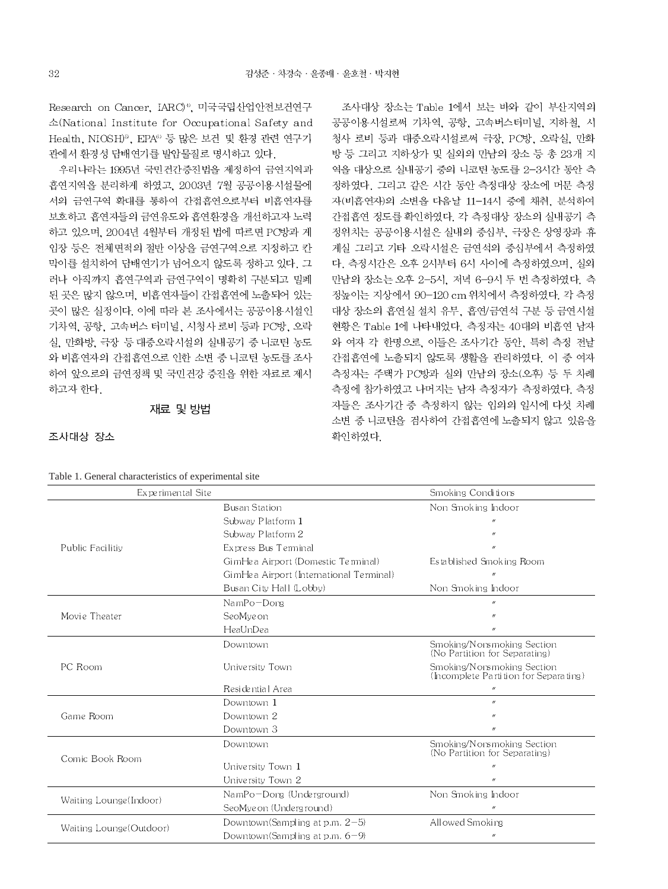Research on Cancer, IARC)<sup>4</sup>, 미국국립산업안전보건연구 소(National Institute for Occupational Safety and Health, NIOSH)<sup>5</sup>, EPA<sup>6</sup> 등 많은 보건 및 환경 관련 연구기 관에서 환경성 담배연기를 발암물질로 명시하고 있다.

우리나라는 1995년 국민건간증진법을 제정하여 금연지역과 흡연지역을 분리하게 하였고, 2003년 7월 공공이용시설물에 서의 금연구역 확대를 통하여 간접흡연으로부터 비흡연자를 보호하고 흡연자들의 금연유도와 흡연환경을 개선하고자 노력 하고 있으며, 2004년 4월부터 개정된 법에 따르면 PC방과 게 입장 등은 전체면적의 절반 이상을 금연구역으로 지정하고 칸 막이를 설치하여 담배연기가 넘어오지 않도록 정하고 있다. 그 러나 아직까지 흡연구역과 금연구역이 명확히 구분되고 밀폐 된 곳은 많지 않으며, 비흡연자들이 간접흡연에 노출되어 있는 곳이 많은 실정이다. 이에 따라 본 조사에서는 공공이용시설인 기차역, 공항, 고속버스 터미널, 시청사 로비 등과 PC방, 오락 실, 만화방, 극장 등 대중오락시설의 실내공기 중 니코틴 농도 와 비흡연자의 간접흡연으로 인한 소변 중 니코틴 농도를 조사 하여 앞으로의 금연정책 및 국민건강 증진을 위한 자료로 제시 하고자 한다.

#### 재료 및 방법

조사대상 장소는 Table 1에서 보는 바와 같이 부산지역의 공공이용시설로써 기차역, 공항, 고속버스터미널, 지하철, 시 청사 로비 등과 대중오락시설로써 극장, PC방, 오락실, 만화 방 등 그리고 지하상가 및 실외의 만남의 장소 등 총 23개 지 역을 대상으로 실내공기 중의 니코틴 농도를 2-3시간 동안 측 정하였다. 그리고 같은 시간 동안 측정대상 장소에 머문 측정 자(비흡연자)의 소변을 다음날 11-14시 중에 채취, 분석하여 간접흠연 정도를 확인하였다. 각 측정대상 장소의 실내공기 측 정위치는 공공이용시설은 실내의 중심부, 극장은 상영장과 휴 게실 그리고 기타 오락시설은 금연석의 중심부에서 측정하였 다. 측정시간은 오후 2시부터 6시 사이에 측정하였으며, 실외 만남의 장소는 오후 2-5시, 저녁 6-9시 두 번 측정하였다. 측 정높이는 지상에서 90-120 cm 위치에서 측정하였다. 각 측정 대상 장소의 흡연실 설치 유무, 흡연/금연석 구분 등 금연시설 현황은 Table 1에 나타내었다. 측정자는 40대의 비흡연 남자 와 여자 각 한명으로, 이들은 조사기간 동안, 특히 측정 전날 간접흡연에 노출되지 않도록 생활을 관리하였다. 이 중 여자 측정자는 주택가 PC방과 실외 만남의 장소(오후) 등 두 차례 측정에 참가하였고 나머지는 남자 측정자가 측정하였다. 측정 자들은 조사기간 중 측정하지 않는 임의의 일시에 다섯 차례 소변 중 니코틴을 검사하여 간접흡연에 노출되지 않고 있음을 확인하였다

| Experimental Site        |                                         | Smoking Conditions                                                  |
|--------------------------|-----------------------------------------|---------------------------------------------------------------------|
|                          | <b>Busan Station</b>                    | Non Smoking Indoor                                                  |
|                          | Subway Platform 1                       |                                                                     |
|                          | Subway Platform 2                       | $\boldsymbol{u}$                                                    |
| Public Facilitiv         | Express Bus Terminal                    | $^{\prime\prime}$                                                   |
|                          | GimHea Airport (Domestic Terminal)      | Established Smoking Room                                            |
|                          | GimHea Airport (International Terminal) |                                                                     |
|                          | Busan City Hall (Lobby)                 | Non Smoking Indoor                                                  |
|                          | $NamPo-Dona$                            | $\boldsymbol{H}$                                                    |
| Movie Theater            | SeoMveon                                | $^{\prime\prime}$                                                   |
|                          | HeaUnDea                                | $^{\prime\prime}$                                                   |
|                          | Downtown                                | Smoking/N on smoking Section<br>(No Partition for Separating)       |
| PC Room                  | University Town                         | Smoking/Nonsmoking Section<br>(Incomplete Partition for Separating) |
|                          | Residential Area                        | $^{\prime\prime}$                                                   |
|                          | Downtown 1                              | $\boldsymbol{\eta}$                                                 |
| Game Room                | Downtown 2                              | $^{\prime\prime}$                                                   |
|                          | Downtown 3                              | $^{\prime\prime}$                                                   |
| Comic Book Room          | Downtown                                | Smoking/Norsmoking Section<br>(No Partition for Separating)         |
|                          | University Town 1                       | $^{\prime\prime}$                                                   |
|                          | University Town 2                       | $^{\prime\prime}$                                                   |
|                          | NamPo-Dong (Underground)                | Non Smoking Indoor                                                  |
| Waiting Lounge(Indoor)   | SeoMyeon (Underground)                  | $^{\prime\prime}$                                                   |
|                          | Downtown(Sampling at p.m. $2-5$ )       | Allowed Smoking                                                     |
| Waiting Lounge (Outdoor) | Downtown(Sampling at n m, $6-0$ )       |                                                                     |

#### 조사대상 장소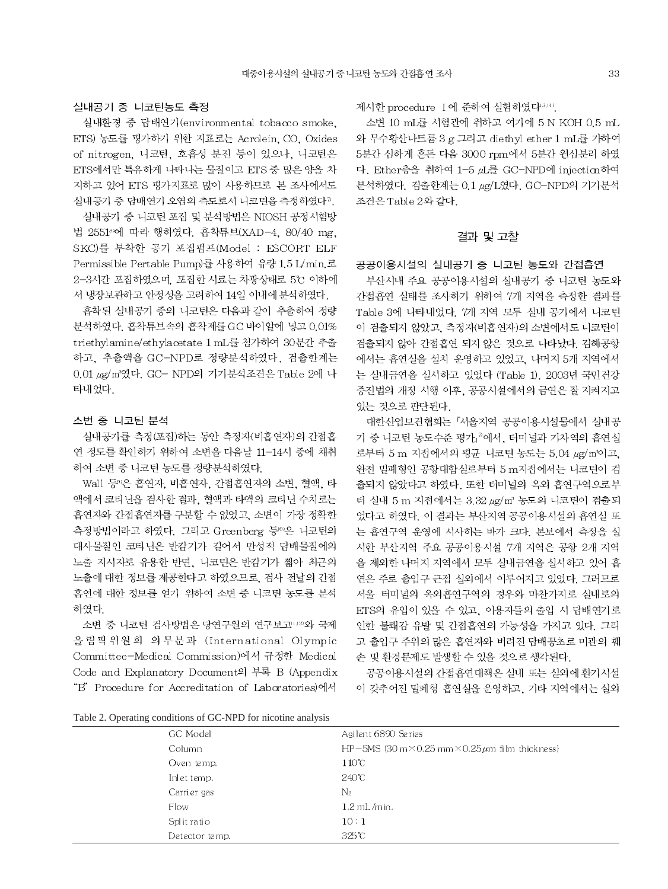#### 실내공기 중 니코틴농도 측정

실내환경 중 담배연기(environmental tobacco smoke, ETS) 농도를 평가하기 위한 지표로는 Acrolein, CO, Oxides of nitrogen. 니코틴, 호흡성 분진 등이 있으나, 니코틴은 ETS에서만 특유하게 나타나는 물질이고 ETS 중 많은 양을 차 지하고 있어 ETS 평가지표로 많이 사용하므로 본 조사에서도 실내공기 중 담배연기 오염의 측도로서 니코틴을 측정하였다".

실내공기 중 니코틴 포집 및 분석방법은 NIOSH 공정시험방 법 25518에 따라 행하였다. 흡착튜브(XAD-4, 80/40 mg, SKC)를 부착한 공기 포집펌프(Model : ESCORT ELF Permissible Pertable Pump)를 사용하여 유량 1.5 L/min.로 2-3시간 포집하였으며, 포집한 시료는 차광상태로 5℃ 이하에 서 냉장보관하고 안정성을 고려하여 14일 이내에 분석하였다.

흡착된 실내공기 중의 니코틴은 다음과 같이 추출하여 정량 분석하였다. 흡착튜브속의 흡착제를 GC 바이알에 넣고 0.01% triethylamine/ethylacetate 1 mL를 첨가하여 30분간 추출 하고, 추출액을 GC-NPD로 정량분석하였다. 검출한계는 0.01 μg/m<sup>3</sup>였다. GC- NPD의 기기분석조건은 Table 2에 나 타내었다.

#### 소변 중 니코틴 분석

실내공기를 측정(포집)하는 동안 측정자(비흡연자)의 간접흡 연 정도를 확인하기 위하여 소변을 다음날 11-14시 중에 채취 하여 소변 중 니코틴 농도를 정량분석하였다.

Wall 등")은 흡연자, 비흡연자, 간접흡연자의 소변, 혈액, 타 액에서 코티닌을 검사한 결과, 혈액과 타액의 코티닌 수치로는 흡연자와 간접흡연자를 구분할 수 없었고, 소변이 가장 정확한 측정방법이라고 하였다. 그리고 Greenberg 등®은 니코틴의 대사물질인 코티닌은 반감기가 길어서 만성적 담배물질에의 노출 지시자로 유용한 반면, 니코틴은 반감기가 짧아 최근의 노출에 대한 정보를 제공한다고 하였으므로, 검사 전날의 간접 흡연에 대한 정보를 얻기 위하여 소변 중 니코틴 농도를 분석 하였다.

소변 중 니코틴 검사방법은 당연구원의 연구보고 [12] 와 국제 올림픽위원회 의무분과 (International Olympic Committee-Medical Commission)에서 규정한 Medical Code and Explanatory Document의 부록 B (Appendix "B" Procedure for Accreditation of Laboratories)에서 제시한 procedure I 에 준하여 실험하였다<sup>3349</sup>.

소변 10 mL를 시험관에 취하고 여기에 5 N KOH 0.5 mL 와 무수황산나트륨 3 g 그리고 diethyl ether 1 mL를 가하여 5분간 심하게 흔든 다음 3000 rpm에서 5분간 원심분리 하였 다. Ether층을 취하여 1-5 山를 GC-NPD에 injection하여 분석하였다. 검출한계는 0.1 µg/L였다. GC-NPD의 기기분석 조건은 Table 2와 같다.

#### 결과 및 고찰

공공이용시설의 실내공기 중 니코틴 농도와 간접흡연

부산시내 주요 공공이용시설의 실내공기 중 니코틴 농도와 간접흡연 실태를 조사하기 위하여 7개 지역을 측정한 결과를 Table 3에 나타내었다. 7개 지역 모두 실내 공기에서 니코틴 이 검출되지 않았고, 측정자(비흡연자)의 소변에서도 니코틴이 검출되지 않아 간접흡연 되지 않은 것으로 나타났다. 김해공항 에서는 흡연실을 설치 운영하고 있었고, 나머지 5개 지역에서 는 실내금연을 실시하고 있었다 (Table 1). 2003년 국민건강 증진법의 개정 시행 이후, 공공시설에서의 금연은 잘 지켜지고 있는 것으로 판단된다.

대한산업보건협회는 『서울지역 공공이용시설물에서 실내공 기 중 니코틴 농도수준 평가』<sup>2</sup>에서, 터미널과 기차역의 흡연실 로부터 5 m 지점에서의 평균 니코틴 농도는 5.04 ug/m'이고. 완전 밀폐형인 공항대합실로부터 5 m지점에서는 니코틴이 검 출되지 않았다고 하였다. 또한 터미널의 옥외 흡연구역으로부 터 실내 5 m 지점에서는 3.32 µg/m3 농도의 니코틴이 검출되 었다고 하였다. 이 결과는 부산지역 공공이용시설의 흡연실 또 는 흡연구역 운영에 시사하는 바가 크다. 본보에서 측정을 실 시한 부산지역 주요 공공이용시설 7개 지역은 공항 2개 지역 을 제외한 나머지 지역에서 모두 실내금연을 실시하고 있어 흡 연은 주로 출입구 근접 실외에서 이루어지고 있었다. 그러므로 서울 터미널의 옥외흡연구역의 경우와 마찬가지로 실내로의 ETS의 유입이 있을 수 있고, 이용자들의 출입 시 담배연기로 인한 불쾌감 유발 및 간접흡연의 가능성을 가지고 있다. 그리 고 출입구 주위의 많은 흡연자와 버려진 담배꽁초로 미관의 훼 손 및 환경문제도 발생할 수 있을 것으로 생각된다.

공공이용시설의 간접흡연대책은 실내 또는 실외에 환기시설 이 갖추어진 밀폐형 흡연실을 운영하고, 기타 지역에서는 실외

|  |  |  | Table 2. Operating conditions of GC-NPD for nicotine analysis |  |  |  |  |  |
|--|--|--|---------------------------------------------------------------|--|--|--|--|--|
|--|--|--|---------------------------------------------------------------|--|--|--|--|--|

| Twore $\Xi$ . Operating conditions of $\Theta \subset \Pi$ is for incoming analysis |                |                                                                      |  |  |
|-------------------------------------------------------------------------------------|----------------|----------------------------------------------------------------------|--|--|
|                                                                                     | GC Model       | Agilent 6890 Series                                                  |  |  |
|                                                                                     | Column         | HP-5MS (30 m $\times$ 0.25 mm $\times$ 0.25 $\mu$ m film thick ness) |  |  |
|                                                                                     | Oven temp.     | $110^{\circ}$ C                                                      |  |  |
|                                                                                     | Inlet temp.    | $240^{\circ}$ C                                                      |  |  |
|                                                                                     | Carrier gas    | $\mathrm{N}_2$                                                       |  |  |
|                                                                                     | Flow           | $1.2$ mL/min.                                                        |  |  |
|                                                                                     | Split ratio    | 10:1                                                                 |  |  |
|                                                                                     | Detector temp. | $325^{\circ}$ C                                                      |  |  |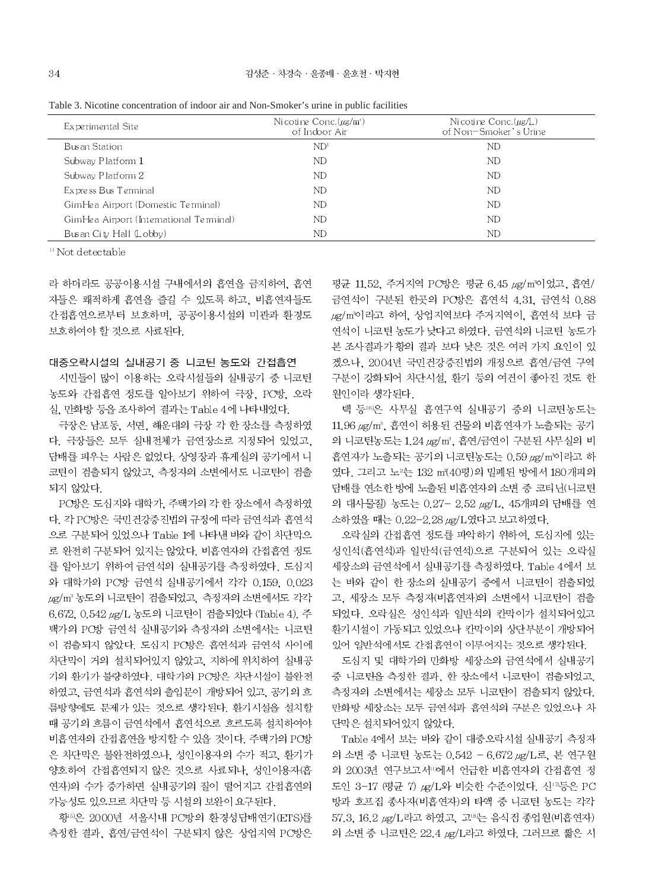| Table 3. Nicotine concentration of indoor air and Non-Smoker's urine in public facilities |  |  |
|-------------------------------------------------------------------------------------------|--|--|
|                                                                                           |  |  |

| Experimental Site                       | Nicotine Conc. $(\mu g/m)$<br>of Indoor Air | Nicotine Conc. $(\mu g/L)$<br>of Non-Smoker's Urine |
|-----------------------------------------|---------------------------------------------|-----------------------------------------------------|
| Busan Station                           | ND <sup>1</sup>                             | ND                                                  |
| Subway Platform 1                       | ND                                          | ND                                                  |
| Subway Platform 2                       | ND                                          | ND                                                  |
| Express Bus Terminal                    | ND                                          | ND                                                  |
| GimHea Airport (Domestic Terminal)      | ND                                          | ND                                                  |
| GimHea Airport (International Terminal) | ND                                          | ND                                                  |
| Busan City Hall (Lobby)                 | ND                                          | ND                                                  |

<sup>1)</sup> Not detectable

라 하더라도 공공이용시설 구내에서의 흡연을 금지하여, 흡연 자들은 쾌적하게 흡연을 즐길 수 있도록 하고, 비흡연자들도 간접흡연으로부터 보호하며, 공공이용시설의 미관과 환경도 보호하여야 할 것으로 사료된다.

#### 대중오락시설의 실내공기 중 니코틴 농도와 간접흡연

시민들이 많이 이용하는 오락시설들의 실내공기 중 니코틴 농도와 간접흡연 정도를 알아보기 위하여 극장, PC방, 오락 실, 만화방 등을 조사하여 결과는 Table 4에 나타내었다.

극장은 남포동, 서면, 해운대의 극장 각 한 장소를 측정하였 다. 극장들은 모두 실내전체가 금연장소로 지정되어 있었고. 답배를 피우는 사람은 없었다. 상영장과 휴게실의 공기에서 니 코틴이 검출되지 않았고, 측정자의 소변에서도 니코틴이 검출 되지 않았다.

PC방은 도심지와 대학가, 주택가의 각 한 장소에서 측정하였 다. 각 PC방은 국민건강증진법의 규정에 따라 금연석과 흡연석 으로 구분되어 있었으나 Table 1에 나타낸 바와 같이 차단막으 로 완전히 구분되어 있지는 않았다. 비흡연자의 간접흡연 정도 를 알아보기 위하여 금연석의 실내공기를 측정하였다. 도심지 와 대학가의 PC방 금연석 실내공기에서 각각 0.159, 0.023 ug/m3 농도의 니코틴이 검출되었고, 측정자의 소변에서도 각각 6.672, 0.542 µg/L 농도의 니코틴이 검출되었다 (Table 4). 주 택가의 PC방 금연석 실내공기와 측정자의 소변에서는 니코틴 이 검출되지 않았다. 도심지 PC방은 흡연석과 금연석 사이에 차단막이 거의 설치되어있지 않았고, 지하에 위치하여 실내공 기의 환기가 불량하였다. 대학가의 PC방은 차단시설이 불완전 하였고, 금연석과 흡연석의 출입문이 개방되어 있고, 공기의 흐 름방향에도 문제가 있는 것으로 생각된다. 환기시설을 설치할 때 공기의 흐름이 금연석에서 흡연석으로 흐르도록 설치하여야 비흡연자의 간접흡연을 방지할 수 있을 것이다. 주택가의 PC방 은 차단막은 불완전하였으나, 성인이용자의 수가 적고, 환기가 양호하여 간접흡연되지 않은 것으로 사료되나, 성인이용자(흡 연자)의 수가 증가하면 실내공기의 질이 떨어지고 간접흡연의 가능성도 있으므로 차단막 등 시설의 보완이 요구된다.

황50은 2000년 서울시내 PC방의 환경성담배연기(ETS)를 측정한 결과, 흡연/금연석이 구분되지 않은 상업지역 PC방은

평균 11.52. 주거지역 PC방은 평균 6.45 µg/m3이었고, 흡연/ 금연석이 구분된 한곳의 PC방은 흡연석 4.31. 금연석 0.88 ug/m3이라고 하여, 상업지역보다 주거지역이, 흡연석 보다 금 연석이 니코틴 농도가 낮다고 하였다. 금연석의 니코틴 농도가 본 조사결과가 황의 결과 보다 낮은 것은 여러 가지 요인이 있 겠으나, 2004년 국민건강증진법의 개정으로 흡연/금연 구역 구분이 강화되어 차단시설, 환기 등의 여건이 좋아진 것도 한 원인이라 생각된다.

백 등®은 사무실 흡연구역 실내공기 중의 니코틴농도는 11.96 µg/m3, 흡연이 허용된 건물의 비흡연자가 노출되는 공기 의 니코틴농도는 1.24 µg/m3. 흡연/금연이 구분된 사무실의 비 흡연자가 노출되는 공기의 니코틴농도는 0.59 µg/m'이라고 하 였다. 그리고 노<sup>2</sup>는 132 m2(40평)의 밀폐된 방에서 180개피의 담배를 연소한 방에 노출된 비흡연자의 소변 중 코티닌(니코틴 의 대사물질) 농도는 0.27- 2.52 µg/L, 45개피의 담배를 연 소하였을 때는 0.22-2.28 μg/L였다고 보고하였다.

오락실의 간접흡연 정도를 파악하기 위하여, 도심지에 있는 성인석(흡연석)과 일반석(금연석)으로 구분되어 있는 오락실 세장소의 금연석에서 실내공기를 측정하였다. Table 4에서 보 는 바와 같이 한 장소의 실내공기 중에서 니코틴이 검출되었 고, 세장소 모두 측정자(비흡연자)의 소변에서 니코틴이 검출 되었다. 오락실은 성인석과 일반석의 칸막이가 설치되어있고 환기시설이 가동되고 있었으나 칸막이의 상단부분이 개방되어 있어 일반석에서도 간접흡연이 이루어지는 것으로 생각된다.

도심지 및 대학가의 만화방 세장소의 금연석에서 실내공기 중 니코틴을 측정한 결과, 한 장소에서 니코틴이 검출되었고, 측정자의 소변에서는 세장소 모두 니코틴이 검출되지 않았다. 만화방 세장소는 모두 금연석과 흡연석의 구분은 있었으나 차 단막은 설치되어있지 않았다.

Table 4에서 보는 바와 같이 대중오락시설 실내공기 측정자 의 소변 중 니코틴 농도는 0.542 - 6.672 µg/L로, 본 연구원 의 2003년 연구보고서"에서 언급한 비흡연자의 간접흡연 정 도인 3-17 (평균 7) μg/L와 비슷한 수준이었다. 신□등은 PC 방과 호프집 종사자(비흡연자)의 타액 중 니코틴 농도는 각각  $57.3$ ,  $16.2 \mu$ g/L라고 하였고, 고 $^{\circ}$ 는 음식점 종업원(비흡연자) 의 소변 중 니코틴은 22.4 µg/L라고 하였다. 그러므로 짧은 시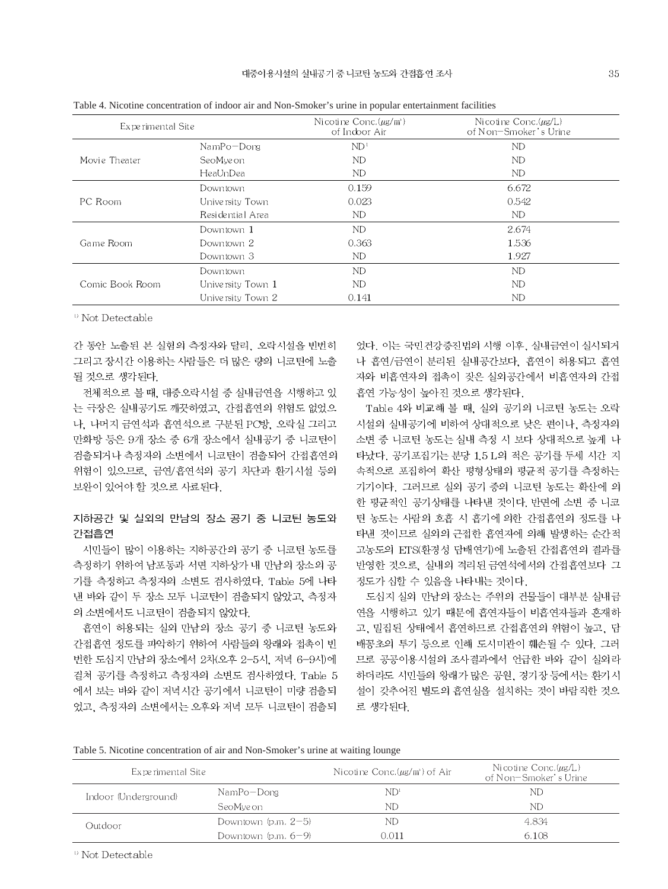|                   |                   | $\overline{ }$                              |                                                     |  |
|-------------------|-------------------|---------------------------------------------|-----------------------------------------------------|--|
| Experimental Site |                   | Nicotine Conc. $(\mu g/m)$<br>of Indoor Air | Nicotine Conc. $(\mu g/L)$<br>of Non-Smoker's Urine |  |
|                   | $NamPo-Dong$      | ND <sup>1</sup>                             | ND                                                  |  |
| Movie Theater     | SeoMveon          | ND                                          | ND                                                  |  |
|                   | HeaUnDea          | ND.                                         | ND                                                  |  |
|                   | Downtown          | 0.159                                       | 6.672                                               |  |
| PC Room           | University Town   | 0.023                                       | 0.542                                               |  |
|                   | Residential Area  | ND.                                         | ND                                                  |  |
|                   | Downtown 1        | ND.                                         | 2.674                                               |  |
| Game Room         | Downtown 2        | 0.363                                       | 1.536                                               |  |
|                   | Downtown 3        | ND.                                         | 1.927                                               |  |
|                   | Downtown          | ND                                          | <b>ND</b>                                           |  |
| Comic Book Room   | University Town 1 | ND.                                         | <b>ND</b>                                           |  |
|                   | University Town 2 | 0.141                                       | ND                                                  |  |

Table 4. Nicotine concentration of indoor air and Non-Smoker's urine in popular entertainment facilities

<sup>1)</sup> Not Detectable

간 동안 노출된 본 실험의 측정자와 달리, 오락시설을 빈번히 그리고 장시간 이용하는 사람들은 더 많은 량의 니코틴에 노출 될 것으로 생각된다.

전체적으로 볼 때, 대중오락시설 중 실내금연을 시행하고 있 는 극장은 실내공기도 깨끗하였고, 간접흡연의 위험도 없었으 나. 나머지 금연석과 흡연석으로 구분된 PC방, 오락실 그리고 만화방 등은 9개 장소 중 6개 장소에서 실내공기 중 니코틴이 검출되거나 측정자의 소변에서 니코틴이 검출되어 간접흡연의 위험이 있으므로, 금연/흡연석의 공기 차단과 환기시설 등의 보완이 있어야 할 것으로 사료된다.

## 지하공간 및 실외의 만남의 장소 공기 중 니코틴 농도와 간접흡연

시민들이 많이 이용하는 지하공간의 공기 중 니코틴 농도를 측정하기 위하여 남포동과 서면 지하상가 내 만남의 장소의 공 기를 측정하고 측정자의 소변도 검사하였다. Table 5에 나타 낸 바와 같이 두 장소 모두 니코틴이 검출되지 않았고, 측정자 의 소변에서도 니코틴이 검출되지 않았다.

흡연이 허용되는 실외 만남의 장소 공기 중 니코틴 농도와 간접흡연 정도를 파악하기 위하여 사람들의 왕래와 접촉이 빈 번한 도심지 만남의 장소에서 2차(오후 2-5시, 저녁 6-9시)에 걸쳐 공기를 측정하고 측정자의 소변도 검사하였다. Table 5 에서 보는 바와 같이 저녁시간 공기에서 니코틴이 미량 검출되 었고, 측정자의 소변에서는 오후와 저녁 모두 니코틴이 검출되 었다. 이는 국민건강증진법의 시행 이후, 실내금연이 실시되거 나 흡연/금연이 분리된 실내공간보다. 흡연이 허용되고 흡연 자와 비흡연자의 접촉이 잦은 실외공간에서 비흡연자의 간접 흡연 가능성이 높아진 것으로 생각된다.

Table 4와 비교해 볼 때, 실외 공기의 니코틴 농도는 오락 시설의 실내공기에 비하여 상대적으로 낮은 편이나, 측정자의 소변 중 니코틴 농도는 실내 측정 시 보다 상대적으로 높게 나 타났다. 공기포집기는 분당 1.5 L의 적은 공기를 두세 시간 지 속적으로 포집하여 확산 평형상태의 평균적 공기를 측정하는 기기이다. 그러므로 실외 공기 중의 니코틴 농도는 확산에 의 한 평균적인 공기상태를 나타낸 것이다. 반면에 소변 중 니코 틴 농도는 사람의 호흡 시 흡기에 의한 간접흡연의 정도를 나 타낸 것이므로 실외의 근접한 흡연자에 의해 발생하는 순간적 고농도의 ETS(환경성 담배연기)에 노출된 간접흡연의 결과를 반영한 것으로, 실내의 격리된 금연석에서의 간접흡연보다 그 정도가 심할 수 있음을 나타내는 것이다.

도심지 실외 만남의 장소는 주위의 건물들이 대부분 실내금 연을 시행하고 있기 때문에 흡연자들이 비흡연자들과 혼재하 고, 밀집된 상태에서 흡연하므로 간접흡연의 위험이 높고, 담 배꽁초의 투기 등으로 인해 도시미관이 훼손될 수 있다. 그러 므로 공공이용시설의 조사결과에서 언급한 바와 같이 실외라 하더라도 시민들의 왕래가 많은 공원, 경기장 등에서는 환기시 설이 갖추어진 별도의 흡연실을 설치하는 것이 바람직한 것으 로 생각된다.

Table 5. Nicotine concentration of air and Non-Smoker's urine at waiting lounge

| Experimental Site    |                       | Nicotine Conc. $(\mu g/m)$ of Air | Nicotine Conc. $(\mu g/L)$<br>of Non-Smoker's Urine |
|----------------------|-----------------------|-----------------------------------|-----------------------------------------------------|
| Indoor (Underground) | NamPo-Dong            | ND <sup>1</sup>                   | ND                                                  |
|                      | SeoMveon              | ND                                | ND                                                  |
| Outdoor              | Downtown $(p.m. 2-5)$ | ND                                | 4.834                                               |
|                      | Downtown $(p.m. 6-9)$ | 0.011                             | 6.108                                               |

<sup>0</sup> Not Detectable